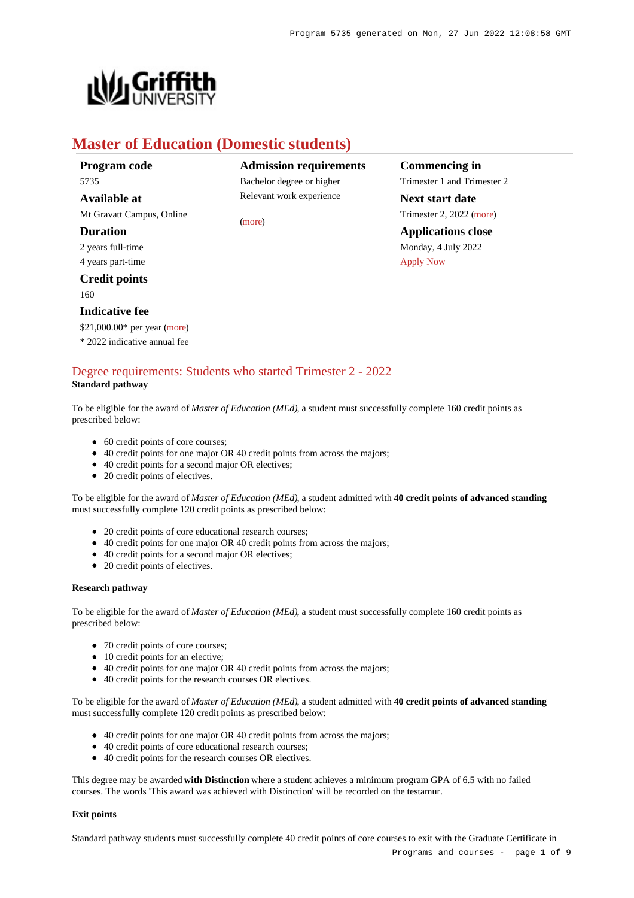

# **Master of Education (Domestic students)**

| Program code                 |    |
|------------------------------|----|
| 5735                         | В  |
| Available at                 | R  |
| Mt Gravatt Campus, Online    | (n |
| <b>Duration</b>              |    |
| 2 years full-time            |    |
| 4 years part-time            |    |
| <b>Credit points</b>         |    |
| 160                          |    |
| <b>Indicative fee</b>        |    |
| \$21,000.00* per year (more) |    |
| * 2022 indicative annual fee |    |

**Admission requirements** achelor degree or higher elevant work experience

[\(more](https://www148.griffith.edu.au/programs-courses/Program/5735/HowToApply/Domestic#can-i-apply))

**Commencing in** Trimester 1 and Trimester 2 **Next start date** Trimester 2, 2022 [\(more](https://www148.griffith.edu.au/programs-courses/Program/5735/HowToApply/Domestic)) **Applications close** Monday, 4 July 2022 [Apply Now](https://www148.griffith.edu.au/programs-courses/Program/5735/Courses/Domestic#)

### [Degree requirements: Students who started Trimester 2 - 2022](https://www148.griffith.edu.au/programs-courses/Program/5735/Courses/Domestic#degree-requirements) **Standard pathway**

To be eligible for the award of *Master of Education (MEd)*, a student must successfully complete 160 credit points as prescribed below:

- 60 credit points of core courses;
- 40 credit points for one major OR 40 credit points from across the majors;
- 40 credit points for a second major OR electives;
- 20 credit points of electives.

To be eligible for the award of *Master of Education (MEd)*, a student admitted with **40 credit points of advanced standing** must successfully complete 120 credit points as prescribed below:

- 20 credit points of core educational research courses;
- 40 credit points for one major OR 40 credit points from across the majors;
- 40 credit points for a second major OR electives;
- 20 credit points of electives.

#### **Research pathway**

To be eligible for the award of *Master of Education (MEd)*, a student must successfully complete 160 credit points as prescribed below:

- 70 credit points of core courses;
- 10 credit points for an elective;
- 40 credit points for one major OR 40 credit points from across the majors;
- 40 credit points for the research courses OR electives.

To be eligible for the award of *Master of Education (MEd)*, a student admitted with **40 credit points of advanced standing** must successfully complete 120 credit points as prescribed below:

- 40 credit points for one major OR 40 credit points from across the majors;
- 40 credit points of core educational research courses;
- 40 credit points for the research courses OR electives.

This degree may be awarded **with Distinction** where a student achieves a minimum program GPA of 6.5 with no failed courses. The words 'This award was achieved with Distinction' will be recorded on the testamur.

#### **Exit points**

Standard pathway students must successfully complete 40 credit points of core courses to exit with the Graduate Certificate in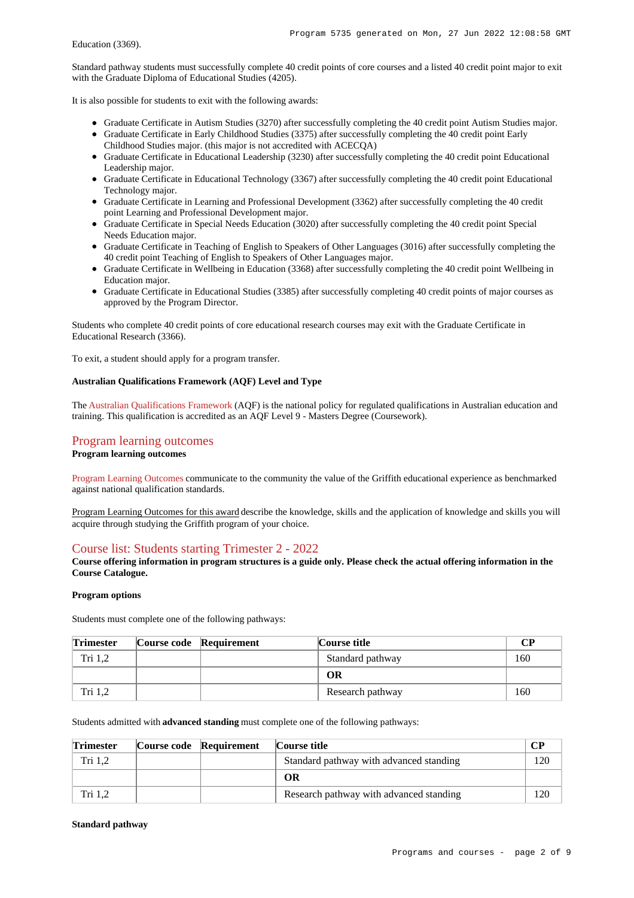Standard pathway students must successfully complete 40 credit points of core courses and a listed 40 credit point major to exit with the Graduate Diploma of Educational Studies (4205).

It is also possible for students to exit with the following awards:

- Graduate Certificate in Autism Studies (3270) after successfully completing the 40 credit point Autism Studies major.
- Graduate Certificate in Early Childhood Studies (3375) after successfully completing the 40 credit point Early Childhood Studies major. (this major is not accredited with ACECQA)
- Graduate Certificate in Educational Leadership (3230) after successfully completing the 40 credit point Educational Leadership major.
- Graduate Certificate in Educational Technology (3367) after successfully completing the 40 credit point Educational Technology major.
- Graduate Certificate in Learning and Professional Development (3362) after successfully completing the 40 credit point Learning and Professional Development major.
- Graduate Certificate in Special Needs Education (3020) after successfully completing the 40 credit point Special Needs Education major.
- Graduate Certificate in Teaching of English to Speakers of Other Languages (3016) after successfully completing the 40 credit point Teaching of English to Speakers of Other Languages major.
- Graduate Certificate in Wellbeing in Education (3368) after successfully completing the 40 credit point Wellbeing in Education major.
- Graduate Certificate in Educational Studies (3385) after successfully completing 40 credit points of major courses as approved by the Program Director.

Students who complete 40 credit points of core educational research courses may exit with the Graduate Certificate in Educational Research (3366).

To exit, a student should apply for a program transfer.

#### **Australian Qualifications Framework (AQF) Level and Type**

The [Australian Qualifications Framework](http://www.aqf.edu.au/) (AQF) is the national policy for regulated qualifications in Australian education and training. This qualification is accredited as an AQF Level 9 - Masters Degree (Coursework).

### [Program learning outcomes](https://www148.griffith.edu.au/programs-courses/Program/5735/Courses/Domestic#programLearningOutcomes)

#### **Program learning outcomes**

[Program Learning Outcomes](https://www.griffith.edu.au/__data/assets/pdf_file/0017/134522/PLO-general-advice.pdf) communicate to the community the value of the Griffith educational experience as benchmarked against national qualification standards.

Program Learning Outcomes for this award describe the knowledge, skills and the application of knowledge and skills you will acquire through studying the Griffith program of your choice.

### [Course list: Students starting Trimester 2 - 2022](https://www148.griffith.edu.au/programs-courses/Program/5735/Courses/Domestic#course-list-content)

**Course offering information in program structures is a guide only. Please check the actual offering information in the Course Catalogue.**

#### **Program options**

Students must complete one of the following pathways:

| <b>Trimester</b> | Course code Requirement | Course title     | CР  |
|------------------|-------------------------|------------------|-----|
| Tri 1.2          |                         | Standard pathway | 160 |
|                  |                         | <b>OR</b>        |     |
| Tri 1.2          |                         | Research pathway | 160 |

Students admitted with **advanced standing** must complete one of the following pathways:

| <b>Trimester</b> | Course code Requirement | Course title                            |     |
|------------------|-------------------------|-----------------------------------------|-----|
| Tri 1.2          |                         | Standard pathway with advanced standing | 120 |
|                  |                         | ОR                                      |     |
| Tri 1.2          |                         | Research pathway with advanced standing | 120 |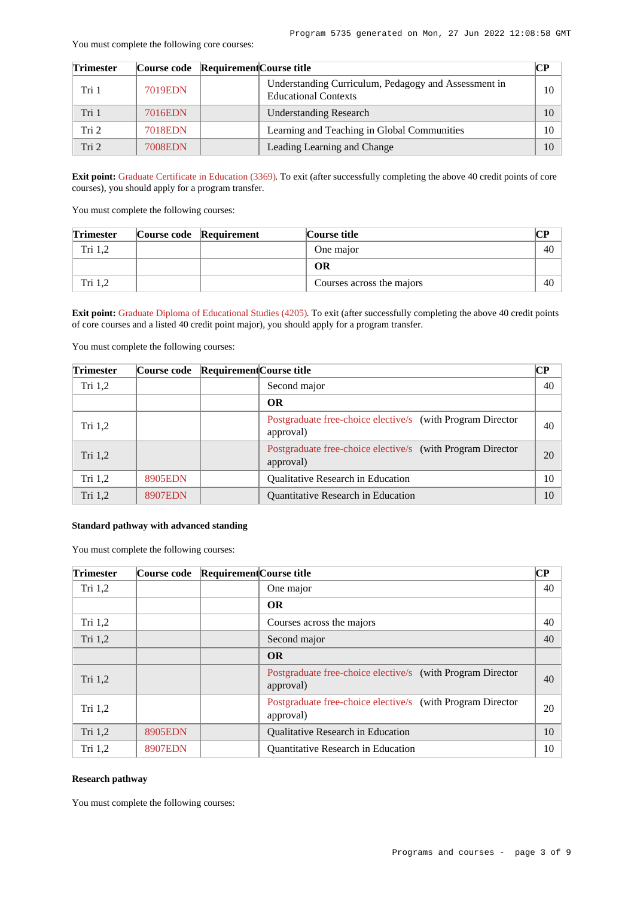#### You must complete the following core courses:

| <b>Trimester</b> |                | Course code Requirement Course title |                                                                                     | CР |
|------------------|----------------|--------------------------------------|-------------------------------------------------------------------------------------|----|
| Tri 1            | <b>7019EDN</b> |                                      | Understanding Curriculum, Pedagogy and Assessment in<br><b>Educational Contexts</b> | 10 |
| Tri 1            | 7016EDN        |                                      | <b>Understanding Research</b>                                                       | 10 |
| Tri <sub>2</sub> | 7018EDN        |                                      | Learning and Teaching in Global Communities                                         | 10 |
| Tri 2            | 7008EDN        |                                      | Leading Learning and Change                                                         | 10 |

**Exit point:** [Graduate Certificate in Education \(3369\)](https://www148.griffith.edu.au/Search/Results?SearchText=3369). To exit (after successfully completing the above 40 credit points of core courses), you should apply for a program transfer.

You must complete the following courses:

| <b>Trimester</b> | Course code Requirement | Course title              | CР |
|------------------|-------------------------|---------------------------|----|
| Tri $1,2$        |                         | One major                 | 40 |
|                  |                         | ОR                        |    |
| Tri 1.2          |                         | Courses across the majors | 40 |

**Exit point:** [Graduate Diploma of Educational Studies \(4205\)](https://www148.griffith.edu.au/Search/Results?SearchText=4205). To exit (after successfully completing the above 40 credit points of core courses and a listed 40 credit point major), you should apply for a program transfer.

You must complete the following courses:

| <b>Trimester</b> | Course code Requirement Course title |                                                                         | CР |
|------------------|--------------------------------------|-------------------------------------------------------------------------|----|
| Tri $1,2$        |                                      | Second major                                                            | 40 |
|                  |                                      | <b>OR</b>                                                               |    |
| Tri $1,2$        |                                      | Postgraduate free-choice elective/s (with Program Director<br>approval) | 40 |
| Tri 1,2          |                                      | Postgraduate free-choice elective/s (with Program Director<br>approval) | 20 |
| Tri $1,2$        | 8905EDN                              | <b>Oualitative Research in Education</b>                                | 10 |
| Tri $1,2$        | <b>8907EDN</b>                       | <b>Ouantitative Research in Education</b>                               | 10 |

#### **Standard pathway with advanced standing**

You must complete the following courses:

| <b>Trimester</b> | Course code Requirement Course title |                                                                         | <b>CP</b> |
|------------------|--------------------------------------|-------------------------------------------------------------------------|-----------|
| Tri $1,2$        |                                      | One major                                                               | 40        |
|                  |                                      | <b>OR</b>                                                               |           |
| Tri $1,2$        |                                      | Courses across the majors                                               | 40        |
| Tri 1,2          |                                      | Second major                                                            | 40        |
|                  |                                      | <b>OR</b>                                                               |           |
| Tri 1,2          |                                      | Postgraduate free-choice elective/s (with Program Director<br>approval) | 40        |
| Tri $1,2$        |                                      | Postgraduate free-choice elective/s (with Program Director<br>approval) | 20        |
| Tri 1,2          | <b>8905EDN</b>                       | Qualitative Research in Education                                       | 10        |
| Tri $1,2$        | <b>8907EDN</b>                       | Quantitative Research in Education                                      | 10        |

#### **Research pathway**

You must complete the following courses: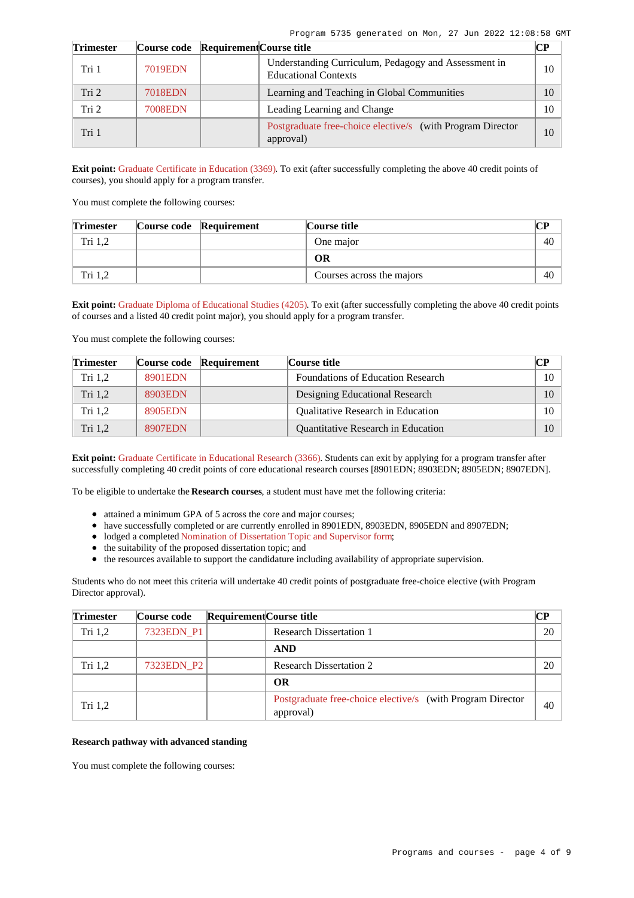| <b>Trimester</b> | Course code Requirement Course title |                                                                                     | CР |
|------------------|--------------------------------------|-------------------------------------------------------------------------------------|----|
| Tri 1            | <b>7019EDN</b>                       | Understanding Curriculum, Pedagogy and Assessment in<br><b>Educational Contexts</b> | 10 |
| Tri <sub>2</sub> | 7018EDN                              | Learning and Teaching in Global Communities                                         | 10 |
| Tri 2            | 7008EDN                              | Leading Learning and Change                                                         | 10 |
| Tri 1            |                                      | Postgraduate free-choice elective/s (with Program Director<br>approval)             | 10 |

**Exit point:** [Graduate Certificate in Education \(3369\)](https://www148.griffith.edu.au/Search/Results?SearchText=3369). To exit (after successfully completing the above 40 credit points of courses), you should apply for a program transfer.

You must complete the following courses:

| <b>Trimester</b> | Course code Requirement | Course title              | CР |
|------------------|-------------------------|---------------------------|----|
| Tri 1.2          |                         | One major                 | 40 |
|                  |                         | ОR                        |    |
| Tri 1,2          |                         | Courses across the majors | 40 |

**Exit point:** [Graduate Diploma of Educational Studies \(4205\)](https://www148.griffith.edu.au/Search/Results?SearchText=4205). To exit (after successfully completing the above 40 credit points of courses and a listed 40 credit point major), you should apply for a program transfer.

You must complete the following courses:

| <b>Trimester</b> |         | Course code Requirement | Course title                              | $\bf CP$ |
|------------------|---------|-------------------------|-------------------------------------------|----------|
| Tri 1.2          | 8901EDN |                         | <b>Foundations of Education Research</b>  | 10       |
| Tri $1,2$        | 8903EDN |                         | Designing Educational Research            | 10       |
| Tri 1.2          | 8905EDN |                         | <b>Qualitative Research in Education</b>  | 10       |
| Tri 1.2          | 8907EDN |                         | <b>Ouantitative Research in Education</b> | 10       |

**Exit point:** [Graduate Certificate in Educational Research \(3366\)](https://www148.griffith.edu.au/Search/Results?SearchText=3366). Students can exit by applying for a program transfer after successfully completing 40 credit points of core educational research courses [8901EDN; 8903EDN; 8905EDN; 8907EDN].

To be eligible to undertake the **Research courses**, a student must have met the following criteria:

- attained a minimum GPA of 5 across the core and major courses;
- have successfully completed or are currently enrolled in 8901EDN, 8903EDN, 8905EDN and 8907EDN;
- lodged a completed [Nomination of Dissertation Topic and Supervisor form](https://www.griffith.edu.au/__data/assets/pdf_file/0028/218548/Nomination-Dissertation-Topic-and-Supervisor-form.pdf);
- the suitability of the proposed dissertation topic; and
- the resources available to support the candidature including availability of appropriate supervision.

Students who do not meet this criteria will undertake 40 credit points of postgraduate free-choice elective (with Program Director approval).

| <b>Trimester</b> | Course code | Requirement Course title |                                                                         | $\bf CP$ |
|------------------|-------------|--------------------------|-------------------------------------------------------------------------|----------|
| Tri $1,2$        | 7323EDN P1  |                          | <b>Research Dissertation 1</b>                                          | 20       |
|                  |             |                          | <b>AND</b>                                                              |          |
| Tri $1,2$        | 7323EDN P2  |                          | <b>Research Dissertation 2</b>                                          | 20       |
|                  |             |                          | <b>OR</b>                                                               |          |
| Tri $1,2$        |             |                          | Postgraduate free-choice elective/s (with Program Director<br>approval) | 40       |

#### **Research pathway with advanced standing**

You must complete the following courses: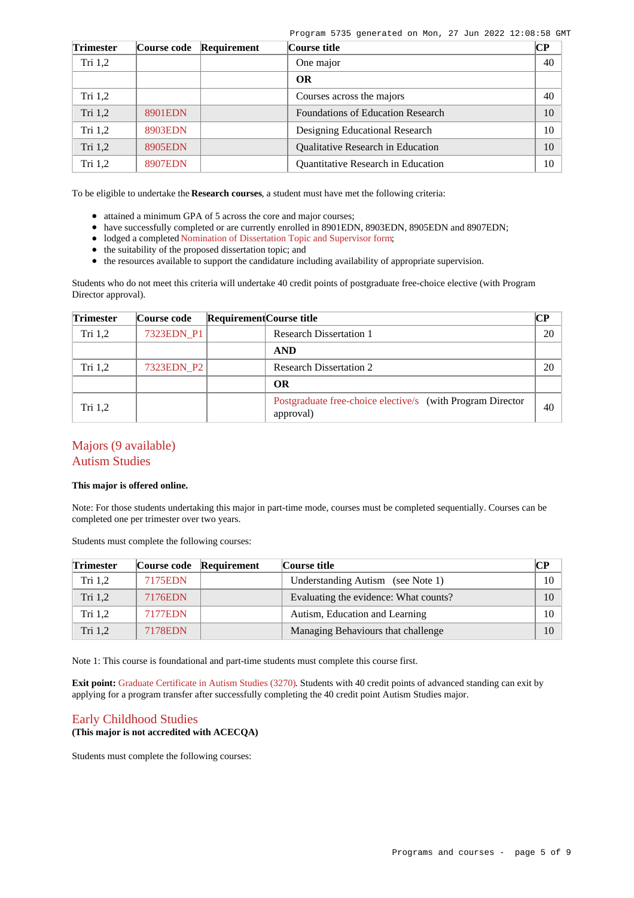Program 5735 generated on Mon, 27 Jun 2022 12:08:58 GMT

| <b>Trimester</b> | <b>Course code</b> | Requirement | Course title                              | $\overline{\mathbf{C}\mathbf{P}}$ |  |
|------------------|--------------------|-------------|-------------------------------------------|-----------------------------------|--|
| Tri $1,2$        |                    |             | One major                                 | 40                                |  |
|                  |                    |             | <b>OR</b>                                 |                                   |  |
| Tri $1,2$        |                    |             | Courses across the majors                 | 40                                |  |
| Tri $1,2$        | 8901EDN            |             | <b>Foundations of Education Research</b>  | 10                                |  |
| Tri $1,2$        | 8903EDN            |             | Designing Educational Research            | 10                                |  |
| Tri 1,2          | 8905EDN            |             | <b>Oualitative Research in Education</b>  | 10                                |  |
| Tri $1,2$        | 8907EDN            |             | <b>Ouantitative Research in Education</b> | 10                                |  |

To be eligible to undertake the **Research courses**, a student must have met the following criteria:

- attained a minimum GPA of 5 across the core and major courses;
- have successfully completed or are currently enrolled in 8901EDN, 8903EDN, 8905EDN and 8907EDN;
- lodged a completed [Nomination of Dissertation Topic and Supervisor form](https://www.griffith.edu.au/__data/assets/pdf_file/0028/218548/Nomination-Dissertation-Topic-and-Supervisor-form.pdf);
- the suitability of the proposed dissertation topic; and
- the resources available to support the candidature including availability of appropriate supervision.

Students who do not meet this criteria will undertake 40 credit points of postgraduate free-choice elective (with Program Director approval).

| <b>Trimester</b> | Course code | Requirement Course title |                                                                         | CР |
|------------------|-------------|--------------------------|-------------------------------------------------------------------------|----|
| Tri 1,2          | 7323EDN_P1  |                          | <b>Research Dissertation 1</b>                                          | 20 |
|                  |             |                          | <b>AND</b>                                                              |    |
| Tri $1,2$        | 7323EDN P2  |                          | <b>Research Dissertation 2</b>                                          | 20 |
|                  |             |                          | <b>OR</b>                                                               |    |
| Tri $1,2$        |             |                          | Postgraduate free-choice elective/s (with Program Director<br>approval) | 40 |

### Majors (9 available) Autism Studies

#### **This major is offered online.**

Note: For those students undertaking this major in part-time mode, courses must be completed sequentially. Courses can be completed one per trimester over two years.

Students must complete the following courses:

| <b>Trimester</b> |                | Course code Requirement | Course title                          | $\bf CP$ |
|------------------|----------------|-------------------------|---------------------------------------|----------|
| Tri 1,2          | 7175EDN        |                         | Understanding Autism (see Note 1)     | 10       |
| Tri 1,2          | 7176EDN        |                         | Evaluating the evidence: What counts? | 10       |
| Tri 1,2          | 7177EDN        |                         | Autism, Education and Learning        | 10       |
| Tri 1,2          | <b>7178EDN</b> |                         | Managing Behaviours that challenge    | 10       |

Note 1: This course is foundational and part-time students must complete this course first.

**Exit point:** [Graduate Certificate in Autism Studies \(3270\)](https://www148.griffith.edu.au/Search/Results?SearchText=3270). Students with 40 credit points of advanced standing can exit by applying for a program transfer after successfully completing the 40 credit point Autism Studies major.

### Early Childhood Studies

#### **(This major is not accredited with ACECQA)**

Students must complete the following courses: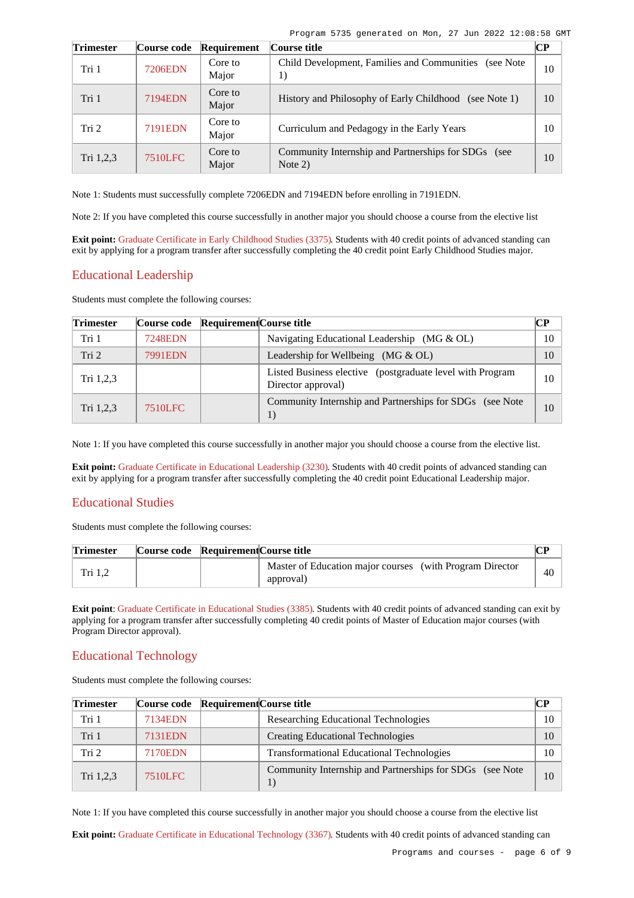| Trimester        | Course code    | Requirement      | Course title                                                     | CР |
|------------------|----------------|------------------|------------------------------------------------------------------|----|
| Tri 1            | <b>7206EDN</b> | Core to<br>Major | Child Development, Families and Communities (see Note)<br>1)     | 10 |
| Tri 1            | 7194EDN        | Core to<br>Major | History and Philosophy of Early Childhood (see Note 1)           | 10 |
| Tri <sub>2</sub> | 7191EDN        | Core to<br>Major | Curriculum and Pedagogy in the Early Years                       | 10 |
| Tri 1,2,3        | <b>7510LFC</b> | Core to<br>Major | Community Internship and Partnerships for SDGs (see<br>Note $2)$ | 10 |

Note 1: Students must successfully complete 7206EDN and 7194EDN before enrolling in 7191EDN.

Note 2: If you have completed this course successfully in another major you should choose a course from the elective list

**Exit point:** [Graduate Certificate in Early Childhood Studies \(3375\)](https://www148.griffith.edu.au/Search/Results?SearchText=3375). Students with 40 credit points of advanced standing can exit by applying for a program transfer after successfully completing the 40 credit point Early Childhood Studies major.

### Educational Leadership

Students must complete the following courses:

| <b>Trimester</b> |                | Course code Requirement Course title                                            | <b>CP</b> |
|------------------|----------------|---------------------------------------------------------------------------------|-----------|
| Tri 1            | <b>7248EDN</b> | Navigating Educational Leadership (MG & OL)                                     | 10        |
| Tri <sub>2</sub> | 7991EDN        | Leadership for Wellbeing (MG $&$ OL)                                            | 10        |
| Tri 1,2,3        |                | Listed Business elective (postgraduate level with Program<br>Director approval) | 10        |
| Tri 1,2,3        | <b>7510LFC</b> | Community Internship and Partnerships for SDGs (see Note<br>1)                  | 10        |

Note 1: If you have completed this course successfully in another major you should choose a course from the elective list.

**Exit point:** [Graduate Certificate in Educational Leadership \(3230\)](https://www148.griffith.edu.au/Search/Results?SearchText=3230). Students with 40 credit points of advanced standing can exit by applying for a program transfer after successfully completing the 40 credit point Educational Leadership major.

# Educational Studies

Students must complete the following courses:

| <b>Trimester</b> | Course code Requirement Course title |                                                                       |    |
|------------------|--------------------------------------|-----------------------------------------------------------------------|----|
| Tri $1,2$        |                                      | Master of Education major courses (with Program Director<br>approval) | 40 |

**Exit point**: [Graduate Certificate in Educational Studies \(3385\)](https://www148.griffith.edu.au/Search/Results?SearchText=3385). Students with 40 credit points of advanced standing can exit by applying for a program transfer after successfully completing 40 credit points of Master of Education major courses (with Program Director approval).

### Educational Technology

Students must complete the following courses:

| <b>Trimester</b> |                | Course code Requirement Course title                      | CР |
|------------------|----------------|-----------------------------------------------------------|----|
| Tri 1            | 7134EDN        | Researching Educational Technologies                      | 10 |
| Tri 1            | 7131EDN        | <b>Creating Educational Technologies</b>                  | 10 |
| Tri 2            | 7170EDN        | <b>Transformational Educational Technologies</b>          | 10 |
| Tri $1,2,3$      | <b>7510LFC</b> | Community Internship and Partnerships for SDGs (see Note) | 10 |

Note 1: If you have completed this course successfully in another major you should choose a course from the elective list

**Exit point:** [Graduate Certificate in Educational Technology \(3367\)](https://www148.griffith.edu.au/Search/Results?SearchText=3367). Students with 40 credit points of advanced standing can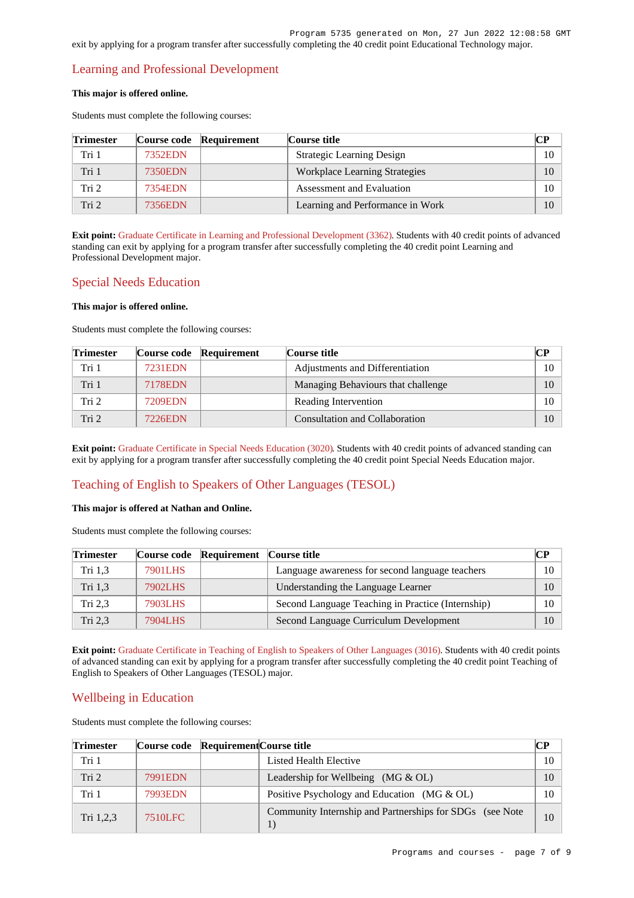# Learning and Professional Development

#### **This major is offered online.**

Students must complete the following courses:

| <b>Trimester</b> |         | Course code Requirement | Course title                         | CР |
|------------------|---------|-------------------------|--------------------------------------|----|
| Tri 1            | 7352EDN |                         | <b>Strategic Learning Design</b>     | 10 |
| Tri 1            | 7350EDN |                         | <b>Workplace Learning Strategies</b> | 10 |
| Tri 2            | 7354EDN |                         | Assessment and Evaluation            | 10 |
| Tri 2            | 7356EDN |                         | Learning and Performance in Work     | 10 |

**Exit point:** [Graduate Certificate in Learning and Professional Development \(3362\)](https://www148.griffith.edu.au/Search/Results?SearchText=3362). Students with 40 credit points of advanced standing can exit by applying for a program transfer after successfully completing the 40 credit point Learning and Professional Development major.

# Special Needs Education

#### **This major is offered online.**

Students must complete the following courses:

| <b>Trimester</b> |         | Course code Requirement | Course title                       | $\bf CP$ |
|------------------|---------|-------------------------|------------------------------------|----------|
| Tri 1            | 7231EDN |                         | Adjustments and Differentiation    | 10       |
| Tri 1            | 7178EDN |                         | Managing Behaviours that challenge | 10       |
| Tri 2            | 7209EDN |                         | Reading Intervention               | 10       |
| Tri <sub>2</sub> | 7226EDN |                         | Consultation and Collaboration     | 10       |

**Exit point:** [Graduate Certificate in Special Needs Education \(3020\)](https://www148.griffith.edu.au/Search/Results?SearchText=3020). Students with 40 credit points of advanced standing can exit by applying for a program transfer after successfully completing the 40 credit point Special Needs Education major.

# Teaching of English to Speakers of Other Languages (TESOL)

#### **This major is offered at Nathan and Online.**

Students must complete the following courses:

| <b>Trimester</b> |         | Course code Requirement Course title |                                                   | CР   |
|------------------|---------|--------------------------------------|---------------------------------------------------|------|
| Tri 1,3          | 7901LHS |                                      | Language awareness for second language teachers   | 10 - |
| Tri 1.3          | 7902LHS |                                      | Understanding the Language Learner                | 10   |
| Tri 2.3          | 7903LHS |                                      | Second Language Teaching in Practice (Internship) | 10   |
| Tri 2.3          | 7904LHS |                                      | Second Language Curriculum Development            | 10   |

**Exit point:** [Graduate Certificate in Teaching of English to Speakers of Other Languages \(3016\)](https://www148.griffith.edu.au/Search/Results?SearchText=3016). Students with 40 credit points of advanced standing can exit by applying for a program transfer after successfully completing the 40 credit point Teaching of English to Speakers of Other Languages (TESOL) major.

# Wellbeing in Education

Students must complete the following courses:

| <b>Trimester</b> | Course code Requirement Course title |                                                                    | CР |
|------------------|--------------------------------------|--------------------------------------------------------------------|----|
| Tri 1            |                                      | Listed Health Elective                                             | 10 |
| Tri <sub>2</sub> | 7991EDN                              | Leadership for Wellbeing $(MG \& OL)$                              | 10 |
| Tri 1            | 7993EDN                              | Positive Psychology and Education (MG $\&$ OL)                     | 10 |
| Tri $1,2,3$      | <b>7510LFC</b>                       | Community Internship and Partnerships for SDGs (see Note<br>$_{1}$ | 10 |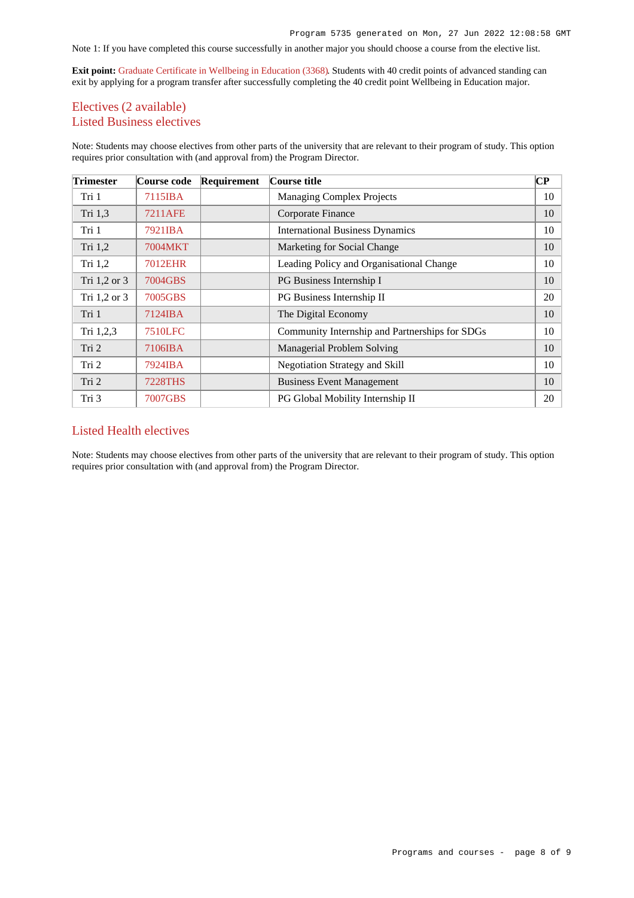### Note 1: If you have completed this course successfully in another major you should choose a course from the elective list.

**Exit point:** [Graduate Certificate in Wellbeing in Education \(3368\)](https://www148.griffith.edu.au/Search/Results?SearchText=3368). Students with 40 credit points of advanced standing can exit by applying for a program transfer after successfully completing the 40 credit point Wellbeing in Education major.

# Electives (2 available) Listed Business electives

Note: Students may choose electives from other parts of the university that are relevant to their program of study. This option requires prior consultation with (and approval from) the Program Director.

| <b>Trimester</b> | <b>Course code</b> | Requirement | Course title                                   | $\bf CP$ |
|------------------|--------------------|-------------|------------------------------------------------|----------|
| Tri 1            | 7115IBA            |             | <b>Managing Complex Projects</b>               | 10       |
| Tri 1,3          | 7211AFE            |             | Corporate Finance                              | 10       |
| Tri 1            | 7921IBA            |             | <b>International Business Dynamics</b>         | 10       |
| Tri 1,2          | 7004MKT            |             | Marketing for Social Change                    | 10       |
| Tri $1,2$        | 7012EHR            |             | Leading Policy and Organisational Change       | 10       |
| Tri 1,2 or 3     | 7004GBS            |             | PG Business Internship I                       | 10       |
| Tri 1,2 or 3     | 7005GBS            |             | PG Business Internship II                      | 20       |
| Tri 1            | 7124IBA            |             | The Digital Economy                            | 10       |
| Tri 1,2,3        | 7510LFC            |             | Community Internship and Partnerships for SDGs | 10       |
| Tri 2            | 7106IBA            |             | Managerial Problem Solving                     | 10       |
| Tri 2            | 7924IBA            |             | Negotiation Strategy and Skill                 | 10       |
| Tri 2            | 7228THS            |             | <b>Business Event Management</b>               | 10       |
| Tri 3            | 7007GBS            |             | PG Global Mobility Internship II               | 20       |

### Listed Health electives

Note: Students may choose electives from other parts of the university that are relevant to their program of study. This option requires prior consultation with (and approval from) the Program Director.